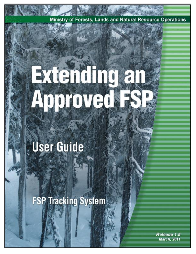Ministry of Forests, Lands and Natural Resource Operations

# Ruending an Approved: 58

# **User Guide**

**FSP Tracking System** 

Release 1.5 **March, 2011**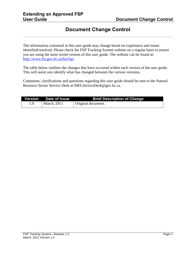# **Document Change Control**

<span id="page-1-0"></span>The information contained in this user guide may change based on experience and issues identified/resolved. Please check the FSP Tracking System website on a regular basis to ensure you are using the most recent version of this user guide. The website can be found at: [http://www.for.gov.bc.ca/his/fsp/.](http://www.for.gov.bc.ca/his/fsp/)

The table below outlines the changes that have occurred within each version of the user guide. This will assist you identify what has changed between the various versions.

Comments, clarifications and questions regarding this user guide should be sent to the Natural Resource Sector Service Desk at NRS.ServiceDesk@gov.bc.ca.

|     | Version Date of Issue | <b>Brief Description of Change</b> |
|-----|-----------------------|------------------------------------|
| 1.0 | <b>March</b> , 2011   | Original document.                 |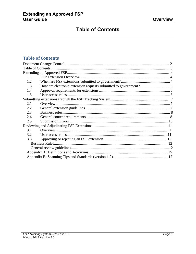# **Table of Contents**

#### <span id="page-2-0"></span>**Table of Contents**

| 1.1 |  |
|-----|--|
| 1.2 |  |
| 1.3 |  |
| 1.4 |  |
| 1.5 |  |
|     |  |
| 2.1 |  |
| 2.2 |  |
| 2.3 |  |
| 2.4 |  |
| 2.5 |  |
|     |  |
| 3.1 |  |
| 3.2 |  |
| 3.3 |  |
|     |  |
|     |  |
|     |  |
|     |  |
|     |  |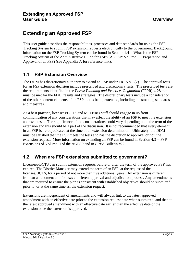# <span id="page-3-0"></span>**Extending an Approved FSP**

This user guide describes the responsibilities, processes and data standards for using the FSP Tracking System to submit FSP extension requests electronically to the government. Background information on the FSP Tracking System can be found in Section 1.4 -- What is the FSP Tracking System of the Administrative Guide for FSPs (AGFSP: Volume 1—Preparation and Approval of an FSP) (see Appendix A for reference link).

#### <span id="page-3-1"></span>**1.1 FSP Extension Overview**

The DDM has discretionary authority to extend an FSP under FRPA s. 6(2). The approval tests for an FSP extension decision include prescribed and discretionary tests. The prescribed tests are the requirements identified in the *Forest Planning and Practices Regulation* (FPPR) s. 28 that must be met for the FDU, results and strategies. The discretionary tests include a consideration of the other content elements of an FSP that is being extended, including the stocking standards and measures.

As a best practice, licensees/BCTS and MFLNRO staff should engage in up front communication of any considerations that may affect the ability of an FSP to meet the extension approval tests. The significance of the considerations could vary depending upon the term of the extension and this should be a part of the discussion. It is not recommended that every element in an FSP be re-adjudicated at the time of an extension determination. Ultimately, the DDM must be satisfied that the FSP meets the tests and has the discretion to approve, or not, the extension request. More information on extending an FSP can be found in Section 4.3 -- FSP Extensions of Volume II of the AGFSP and in *FRPA* Bulletin #22.

# <span id="page-3-2"></span>**1.2 When are FSP extensions submitted to government?**

Licensees/BCTS can submit extension requests before or after the term of the approved FSP has expired. The District Manager **may** extend the term of an FSP, at the request of the licensee/BCTS, for a period of not more than five additional years. An extension is different from an amendment and follows a different approval and adjudication process. Any amendments that are required to ensure the plan is consistent with established objectives should be submitted prior to, or at the same time as, the extension request.

Extensions are independent of amendments and will always link to the latest approved amendment with an effective date prior to the extension request date when submitted, and then to the latest approved amendment with an effective date earlier than the effective date of the extension once the extension is approved.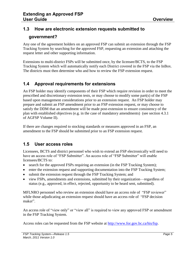# <span id="page-4-0"></span>**1.3 How are electronic extension requests submitted to**

#### **government?**

Any one of the agreement holders on an approved FSP can submit an extension through the FSP Tracking System by searching for the approved FSP, requesting an extension and attaching the request letter and other supporting information.

Extensions to multi-district FSPs will be submitted once, by the licensee/BCTS, to the FSP Tracking System which will automatically notify each District covered in the FSP via the InBox. The districts must then determine who and how to review the FSP extension request.

# <span id="page-4-1"></span>**1.4 Approval requirements for extensions**

An FSP holder may identify components of their FSP which require revision in order to meet the prescribed and discretionary extension tests, or may choose to modify some part(s) of the FSP based upon management considerations prior to an extension request. An FSP holder may prepare and submit an FSP amendment prior to an FSP extension request, or may choose to satisfy the DDM that an amendment will be made post-extension to ensure consistency of the plan with established objectives (e.g. in the case of mandatory amendments) (see section 4.3.1 of AGFSP Volume II).

If there are changes required to stocking standards or measures approved in an FSP, an amendment to the FSP should be submitted prior to an FSP extension request.

# <span id="page-4-2"></span>**1.5 User access roles**

Licensees, BCTS and district personnel who wish to extend an FSP electronically will need to have an access role of "FSP Submitter". An access role of "FSP Submitter" will enable licensees/BCTS to:

- search for the approved FSPs requiring an extension (in the FSP Tracking System);
- enter the extension request and supporting documentation into the FSP Tracking System;
- submit the extension request through the FSP Tracking System; and
- view FSPs, amendments and extensions, submitted by their organization—regardless of status (e.g., approved, in effect, rejected, opportunity to be heard sent, submitted).

MFLNRO personnel who review an extension should have an access role of "FSP reviewer" while those adjudicating an extension request should have an access role of "FSP decision maker".

An access role of "view only" or "view all" is required to view any approved FSP or amendment in the FSP Tracking System.

Access roles can be requested from the FSP website at [http://www.for.gov.bc.ca/his/fsp.](http://www.for.gov.bc.ca/his/fsp)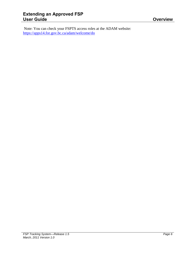Note: You can check your FSPTS access roles at the ADAM website: <https://apps14.for.gov.bc.ca/adam/welcome/do>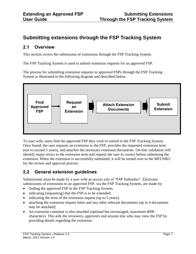# <span id="page-6-0"></span>**Submitting extensions through the FSP Tracking System**

#### <span id="page-6-1"></span>**2.1 Overview**

This section covers the submission of extensions through the FSP Tracking System.

The FSP Tracking System is used to submit extension requests for an approved FSP.

The process for submitting extension requests to approved FSPs through the FSP Tracking System is illustrated in the following diagram and described below.



To start with, users find the approved FSP they wish to extend in the FSP Tracking System. Once found, the user requests an extension to the FSP, provides the requested extension term (not to exceed 5 years), and attaches the necessary extension documents. On-line validation will identify major errors in the extension term and request the user to correct before submitting the extension. When the extension is successfully submitted, it will be turned over to the MFLNRO for the review and approval process.

# <span id="page-6-2"></span>**2.2 General extension guidelines**

Submissions must be made by a user with an access role of "FSP Submitter". Electronic submissions of extensions to an approved FSP, via the FSP Tracking System, are made by:

- finding the approved FSP in the FSP Tracking System;
- indicating (requesting) that the FSP is to be extended;
- $\bullet$  indicating the term of the extension request (up to 5 years);
- attaching the extension request letter and any other relevant documents (up to 4 documents may be attached);
- An extension comment is also attached (optional but encouraged, maximum 4000) characters). This aids the reviewers, approvers and anyone else who may view the FSP by providing details regarding the extension.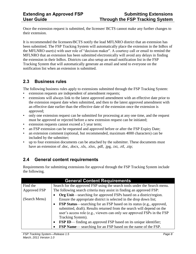Once the extension request is submitted, the licensee/ BCTS cannot make any further changes to their extension.

It is recommended the licensees/BCTS notify the lead MFLNRO district that an extension has been submitted. The FSP Tracking System will automatically place the extension in the InBox of the MFLNRO user(s) with user role of "decision maker". A courtesy call or email to remind the MFLNRO that an extension has been submitted electronically will avoid any delays in finding the extension in their InBox. Districts can also setup an email notification list in the FSP Tracking System that will automatically generate an email and send to everyone on the notification list when an extension is submitted.

#### <span id="page-7-0"></span>**2.3 Business rules**

The following business rules apply to extensions submitted through the FSP Tracking System:

- extension requests are independent of amendment requests;
- extensions will always link to the latest approved amendment with an effective date prior to the extension request date when submitted, and then to the latest approved amendment with an effective date earlier than the effective date of the extension once the extension is approved;
- only one extension request can be submitted for processing at any one time, and the request must be approved or rejected before a new extension request can be initiated;
- extension requests cannot exceed a 5 year term;
- an FSP extension can be requested and approved before or after the FSP Expiry Date;
- an extension comment (optional, but recommended, maximum 4000 characters) can be included by the submitter;
- up to four extension documents can be attached by the submitter. These documents must have an extension of .doc, .docx, .xls, .xlsx, .pdf, .jpg, .txt, .rtf, .zip;

#### <span id="page-7-1"></span>**2.4 General content requirements**

Requirements for submitting extensions for approval through the FSP Tracking System include the following.

|               | <b>General Content Requirements</b>                                                                                                                                                                                                                                                                                                                        |
|---------------|------------------------------------------------------------------------------------------------------------------------------------------------------------------------------------------------------------------------------------------------------------------------------------------------------------------------------------------------------------|
| Find the      | Search for the approved FSP using the search tools under the Search menu.                                                                                                                                                                                                                                                                                  |
| Approved FSP  | The following search criteria may assist in finding an approved FSP:                                                                                                                                                                                                                                                                                       |
| (Search Menu) | <b>Org Unit</b> —searching for approved FSPs based on a district/region.<br>Ensure the appropriate district is selected in the drop down list;                                                                                                                                                                                                             |
|               | <b>FSP Status—searching for an FSP based on its status (e.g., approved,</b><br>$\bullet$<br>submitted, draft). Results returned from the search will depend on the<br>user's access role (e.g., viewers can only see approved FSPs in the FSP<br>Tracking System).<br><b>FSP ID</b> — finding an approved FSP based on its unique identifier;<br>$\bullet$ |
|               | <b>FSP Name</b> — searching for an FSP based on the name of the FSP.                                                                                                                                                                                                                                                                                       |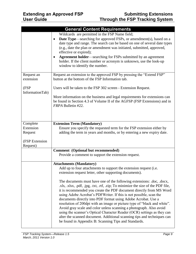|                            | <b>General Content Requirements</b>                                                                                                                                                                                                                                                                                                                                                                                                                                                                                                                                                                                                                                                                                                                                                                                                                |
|----------------------------|----------------------------------------------------------------------------------------------------------------------------------------------------------------------------------------------------------------------------------------------------------------------------------------------------------------------------------------------------------------------------------------------------------------------------------------------------------------------------------------------------------------------------------------------------------------------------------------------------------------------------------------------------------------------------------------------------------------------------------------------------------------------------------------------------------------------------------------------------|
|                            | Wildcards are permitted in the FSP Name field;<br><b>Date Type</b> —searching for approved FSPs, or amendment(s), based on a<br>$\bullet$<br>date type and range. The search can be based on one of several date types<br>(e.g., date the plan or amendment was initiated, submitted, approved,<br>effective or expired);<br><b>Agreement holder—searching for FSPs submitted by an agreement</b><br>holder. If the client number or acronym is unknown, use the look-up<br>window to identify the number.                                                                                                                                                                                                                                                                                                                                         |
| Request an                 | Request an extension to the approved FSP by pressing the "Extend FSP"                                                                                                                                                                                                                                                                                                                                                                                                                                                                                                                                                                                                                                                                                                                                                                              |
| extension                  | button at the bottom of the FSP Information tab.                                                                                                                                                                                                                                                                                                                                                                                                                                                                                                                                                                                                                                                                                                                                                                                                   |
| (FSP<br>InformationTab)    | Users will be taken to the FSP 302 screen - Extension Request.                                                                                                                                                                                                                                                                                                                                                                                                                                                                                                                                                                                                                                                                                                                                                                                     |
|                            | More information on the business and legal requirements for extensions can<br>be found in Section 4.3 of Volume II of the AGFSP (FSP Extensions) and in<br>FRPA Bulletin #22.                                                                                                                                                                                                                                                                                                                                                                                                                                                                                                                                                                                                                                                                      |
| Complete                   | <b>Extension Term (Mandatory)</b>                                                                                                                                                                                                                                                                                                                                                                                                                                                                                                                                                                                                                                                                                                                                                                                                                  |
| Extension<br>Request       | Ensure you specify the requested term for the FSP extension either by<br>adding the term in years and months, or by entering a new expiry date.                                                                                                                                                                                                                                                                                                                                                                                                                                                                                                                                                                                                                                                                                                    |
| (FSP Extension<br>Request) |                                                                                                                                                                                                                                                                                                                                                                                                                                                                                                                                                                                                                                                                                                                                                                                                                                                    |
|                            | <b>Comment</b> (Optional but recommended)                                                                                                                                                                                                                                                                                                                                                                                                                                                                                                                                                                                                                                                                                                                                                                                                          |
|                            | Provide a comment to support the extension request.                                                                                                                                                                                                                                                                                                                                                                                                                                                                                                                                                                                                                                                                                                                                                                                                |
|                            | <b>Attachments (Mandatory)</b><br>Add up to four attachments to support the extension request (i.e.<br>extension request letter, other supporting documents).<br>The documents must have one of the following extensions: .doc, .docx,<br>.xls, .xlsx, .pdf, .jpg, .txt, .rtf, .zip; To minimize the size of the PDF file,<br>it is recommended you create the PDF document directly from MS Word<br>using Adobe Acrobat's PDFWriter. If this is not possible, scan the<br>documents directly into PDF format using Adobe Acrobat. Use a<br>resolution of 200 dpi with an image or picture type of "black and white".<br>Avoid gray scale and color unless scanning a photograph. Also avoid<br>using the scanner's Optical Character Reader (OCR) settings as they can<br>alter the scanned document. Additional scanning tips and techniques can |
|                            | be found in Appendix B: Scanning Tips and Standards.                                                                                                                                                                                                                                                                                                                                                                                                                                                                                                                                                                                                                                                                                                                                                                                               |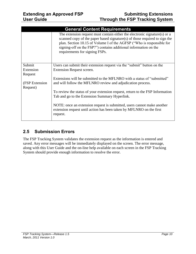|                | <b>General Content Requirements</b>                                                                                                                                                                                                                                                                                                     |
|----------------|-----------------------------------------------------------------------------------------------------------------------------------------------------------------------------------------------------------------------------------------------------------------------------------------------------------------------------------------|
|                | The extension request must contain either the electronic signature(s) or a<br>scanned copy of the paper based signature(s) of those required to sign the<br>plan. Section 10.15 of Volume I of the AGFSP ("Who is responsible for<br>signing-off on the FSP?") contains additional information on the<br>requirements for signing FSPs. |
| Submit         | Users can submit their extension request via the "submit" button on the                                                                                                                                                                                                                                                                 |
| Extension      | Extension Request screen.                                                                                                                                                                                                                                                                                                               |
| Request        |                                                                                                                                                                                                                                                                                                                                         |
|                | Extensions will be submitted to the MFLNRO with a status of "submitted"                                                                                                                                                                                                                                                                 |
| (FSP Extension | and will follow the MFLNRO review and adjudication process.                                                                                                                                                                                                                                                                             |
| Request)       |                                                                                                                                                                                                                                                                                                                                         |
|                | To review the status of your extension request, return to the FSP Information                                                                                                                                                                                                                                                           |
|                | Tab and go to the Extension Summary Hyperlink.                                                                                                                                                                                                                                                                                          |
|                | NOTE: once an extension request is submitted, users cannot make another<br>extension request until action has been taken by MFLNRO on the first<br>request.                                                                                                                                                                             |

# <span id="page-9-0"></span>**2.5 Submission Errors**

The FSP Tracking System validates the extension request as the information is entered and saved. Any error messages will be immediately displayed on the screen. The error message, along with this User Guide and the on-line help available on each screen in the FSP Tracking System should provide enough information to resolve the error.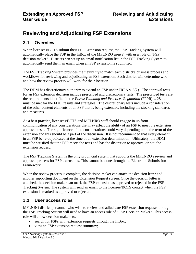# <span id="page-10-0"></span>**Reviewing and Adjudicating FSP Extensions**

#### <span id="page-10-1"></span>**3.1 Overview**

When licensees/BCTS submit their FSP Extension request, the FSP Tracking System will automatically place the FSP in the InBox of the MFLNRO user(s) with user role of "FSP decision maker". Districts can set up an email notification list in the FSP Tracking System to automatically send them an email when an FSP extension is submitted.

The FSP Tracking System provides the flexibility to match each district's business process and workflows for reviewing and adjudicating an FSP extension. Each district will determine who and how the review process will work for their location.

The DDM has discretionary authority to extend an FSP under FRPA s. 6(2). The approval tests for an FSP extension decision include prescribed and discretionary tests. The prescribed tests are the requirements identified in the *Forest Planning and Practices Regulation* (FPPR) s. 28 that must be met for the FDU, results and strategies. The discretionary tests include a consideration of the other content elements of an FSP that is being extended, including the stocking standards and measures.

As a best practice, licensees/BCTS and MFLNRO staff should engage in up front communication of any considerations that may affect the ability of an FSP to meet the extension approval tests. The significance of the considerations could vary depending upon the term of the extension and this should be a part of the discussion. It is not recommended that every element in an FSP be re-adjudicated at the time of an extension determination. Ultimately, the DDM must be satisfied that the FSP meets the tests and has the discretion to approve, or not, the extension request.

The FSP Tracking System is the only provincial system that supports the MFLNRO's review and approval process for FSP extensions. This cannot be done through the Electronic Submission Framework.

When the review process is complete, the decision maker can attach the decision letter and another supporting document on the Extension Request screen. Once the decision letter is attached, the decision maker can mark the FSP extension as approved or rejected in the FSP Tracking System. The system will send an email to the licensee/BCTS contact when the FSP extension is marked as approved or rejected.

#### <span id="page-10-2"></span>**3.2 User access roles**

MFLNRO district personnel who wish to review and adjudicate FSP extension requests through the FSP Tracking System will need to have an access role of "FSP Decision Maker". This access role will allow decision makers to:

- search for FSPs with extension requests through the InBox;
- view an FSP extension request summary;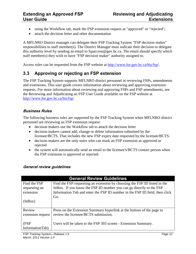- using the Workflow tab, mark the FSP extension request as "approved" or "rejected";
- attach the decision letter and other documentation

A MFLNRO District manager can delegate their FSP Tracking System "FSP decision maker" responsibilities to staff member(s). The District Manager must indicate their decision to delegate this authority level by sending an email to fspaccess@gov.bc.ca. The email should specify which staff member(s) they wish to have "FSP decision maker" authority assigned to.

Access roles can be requested from the FSP website at [http://www.for.gov.bc.ca/his/fsp/.](http://www.for.gov.bc.ca/his/fsp/)

# <span id="page-11-0"></span>**3.3 Approving or rejecting an FSP extension**

The FSP Tracking System supports MFLNRO district personnel in reviewing FSPs, amendments and extensions. This user guide covers information about reviewing and approving extension requests. For more information about reviewing and approving FSPs and FSP amendments, see the Reviewing and Adjudicating an FSP User Guide available on the FSP website at <http://www.for.gov.bc.ca/his/fsp/>

#### <span id="page-11-1"></span>**Business Rules**

The following business rules are supported by the FSP Tracking System when MFLNRO district personnel are reviewing an FSP extension request:

- decision makers use the Workflow tab to attach the decision letter
- decision makers cannot add, change or delete information submitted by the licensee/BCTS. That includes the new FSP expiry date requested by the licensee/BCTS.
- decision makers are the only users who can mark an FSP extension as approved or rejected
- the system will automatically send an email to the licensee's/BCTS contact person when the FSP extension is approved or rejected.

#### <span id="page-11-2"></span>**General review guidelines**

|                   | <b>General Review Guidelines</b>                                            |
|-------------------|-----------------------------------------------------------------------------|
| Find the FSP      | Find the FSP requesting an extension by choosing the FSP ID listed in the   |
| requesting an     | InBox. If you know the FSP ID number you can go directly to the FSP         |
| extension         | Information Tab and enter the FSP ID number in the FSP ID field, then click |
|                   | Go.                                                                         |
| (InBox)           |                                                                             |
|                   |                                                                             |
| Review            | Press on the Extension Summary hyperlink at the bottom of the page to       |
| extension request | review the licensee/BCTS submission.                                        |
|                   |                                                                             |
| (FSP              | Users will be taken to the FSP 303 screen - Extension Summary.              |
| InformationTab)   |                                                                             |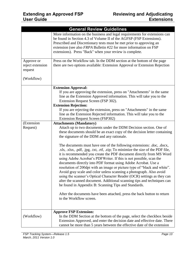|                                           | <b>General Review Guidelines</b>                                                                                                                                                                                                                                                                                                                                                                                                                                                                                                                                                                                                                                                                                                          |
|-------------------------------------------|-------------------------------------------------------------------------------------------------------------------------------------------------------------------------------------------------------------------------------------------------------------------------------------------------------------------------------------------------------------------------------------------------------------------------------------------------------------------------------------------------------------------------------------------------------------------------------------------------------------------------------------------------------------------------------------------------------------------------------------------|
|                                           | More information on the business and legal requirements for extensions can<br>be found in Section 4.3 of Volume II of the AGFSP (FSP Extensions).<br>Prescribed and Discretionary tests must be met prior to approving an<br>extension (see also FRPA Bulletin #22 for more information on FSP<br>extensions). Press "Back" when your review is complete.                                                                                                                                                                                                                                                                                                                                                                                 |
| Approve or<br>reject extension<br>request | Press on the Workflow tab. In the DDM section at the bottom of the page<br>there are two options available: Extension Approval or Extension Rejection                                                                                                                                                                                                                                                                                                                                                                                                                                                                                                                                                                                     |
| (Workflow)                                |                                                                                                                                                                                                                                                                                                                                                                                                                                                                                                                                                                                                                                                                                                                                           |
|                                           | <b>Extension Approval:</b><br>If you are approving the extension, press on "Attachments" in the same<br>line as the Extension Approved information. This will take you to the<br>Extension Request Screen (FSP 302).<br><b>Extension Rejection:</b><br>If you are rejecting the extension, press on "Attachments" in the same<br>line as the Extension Rejected information. This will take you to the                                                                                                                                                                                                                                                                                                                                    |
| (Extension                                | <b>Extension Request Screen (FSP302)</b>                                                                                                                                                                                                                                                                                                                                                                                                                                                                                                                                                                                                                                                                                                  |
| Request)                                  | <b>Attachments (Mandatory)</b><br>Attach up to two documents under the DDM Decision section. One of<br>these documents should be an exact copy of the decision letter containing<br>the signature of the DDM and any rationale.                                                                                                                                                                                                                                                                                                                                                                                                                                                                                                           |
|                                           | The documents must have one of the following extensions: .doc, .docx,<br>.xls, .xlsx, .pdf, .jpg, .txt, .rtf, .zip; To minimize the size of the PDF file,<br>it is recommended you create the PDF document directly from MS Word<br>using Adobe Acrobat's PDFWriter. If this is not possible, scan the<br>documents directly into PDF format using Adobe Acrobat. Use a<br>resolution of 200 dpi with an image or picture type of "black and white".<br>Avoid gray scale and color unless scanning a photograph. Also avoid<br>using the scanner's Optical Character Reader (OCR) settings as they can<br>alter the scanned document. Additional scanning tips and techniques can<br>be found in Appendix B: Scanning Tips and Standards. |
|                                           | After the documents have been attached, press the back button to return<br>to the Workflow screen.                                                                                                                                                                                                                                                                                                                                                                                                                                                                                                                                                                                                                                        |
| (Workflow)                                | <b>Approve FSP Extension:</b><br>In the DDM Section at the bottom of the page, select the checkbox beside<br>Extension Approved, and enter the decision date and effective date. There<br>cannot be more than 5 years between the effective date of the extension                                                                                                                                                                                                                                                                                                                                                                                                                                                                         |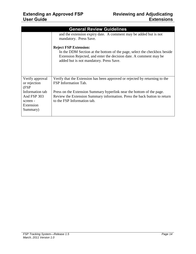|                                                                     | <b>General Review Guidelines</b>                                                                                                                                                                                         |
|---------------------------------------------------------------------|--------------------------------------------------------------------------------------------------------------------------------------------------------------------------------------------------------------------------|
|                                                                     | and the extension expiry date. A comment may be added but is not<br>mandatory. Press Save.                                                                                                                               |
|                                                                     | <b>Reject FSP Extension:</b><br>In the DDM Section at the bottom of the page, select the checkbox beside<br>Extension Rejected, and enter the decision date. A comment may be<br>added but is not mandatory. Press Save. |
| Verify approval<br>or rejection<br>(FSP                             | Verify that the Extension has been approved or rejected by returning to the<br>FSP Information Tab.                                                                                                                      |
| Information tab<br>And FSP 303<br>screen -<br>Extension<br>Summary) | Press on the Extension Summary hyperlink near the bottom of the page.<br>Review the Extension Summary information. Press the back button to return<br>to the FSP Information tab.                                        |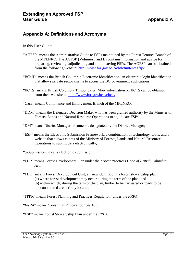#### <span id="page-14-0"></span>**Appendix A: Definitions and Acronyms**

In this User Guide:

- "AGFSP" means the Administrative Guide to FSPs maintained by the Forest Tenures Branch of the MFLNRO. The AGFSP (Volumes I and II) contains information and advice for preparing, reviewing, adjudicating and administering FSPs. The AGFSP can be obtained from the following website: [http://www.for.gov.bc.ca/hth/timten/agfsp/;](http://www.for.gov.bc.ca/hth/timten/agfsp/)
- "BCeID" means the British Columbia Electronic Identification, an electronic login identification that allows private sector clients to access the BC government applications;
- "BCTS" means British Columbia Timber Sales. More information on BCTS can be obtained from their website at: [http://www.for.gov.bc.ca/bcts/;](http://www.for.gov.bc.ca/bcts/)
- "C&E" means Compliance and Enforcement Branch of the MFLNRO;
- "DDM" means the Delegated Decision Maker who has been granted authority by the Minister of Forests, Lands and Natural Resource Operations to adjudicate FSPs;
- "DM" means District Manager or someone designated by the District Manager;
- "ESF" means the Electronic Submission Framework, a combination of technology, tools, and a website that allows clients of the Ministry of Forests, Lands and Natural Resource Operations to submit data electronically;
- "e-Submission" means electronic submission;
- "FDP" means Forest Development Plan under the *Forest Practices Code of British Columbia Act*;
- "FDU" means Forest Development Unit, an area identified in a forest stewardship plan (a) where forest development may occur during the term of the plan, and
	- (b) within which, during the term of the plan, timber to be harvested or roads to be constructed are entirely located;
- "FPPR" means Forest Planning and Practices Regulation' under the *FRPA*;
- "*FRPA*" means *Forest and Range Practices Act*;
- "FSP" means Forest Stewardship Plan under the *FRPA*;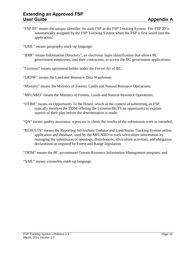- "FSP ID" means the unique identifier for each FSP in the FSP Tracking System. The FSP ID is automatically assigned by the FSP Tracking System when the FSP is first saved into the application;
- "GML" means geography mark-up language;
- "IDIR" means Information Directory", an electronic login identification that allows BC government employees, and their contractors, to access the BC government applications;
- "Licensee" means agreement holder under the *Forest Act* of BC;
- "LRDW" means the Land and Resource Data Warehouse;
- "Ministry" means the Ministry of Forests, Lands and Natural Resource Operations;
- "MFLNRO" means the Ministry of Forests, Lands and Natural Resource Operations;
- "OTBH" means an Opportunity To Be Heard, which in the context of submitting an FSP, typically involves the DDM offering the Licensee/BCTS an opportunity to explain aspects of their plan before the determination is made;
- "QA" means quality assurance, a process to check the results of the submission were as intended;
- "RESULTS" means the Reporting Silviculture Updates and Land Status Tracking System online application and database, used by the MFLNRO to track silviculture information by managing the submission of openings, disturbances, silviculture activities, and obligation declarations as required by Forest and Range legislation;
- "TRIM" means the BC government Terrain Resource Information Management program; and
- "XML" means extensible mark-up language.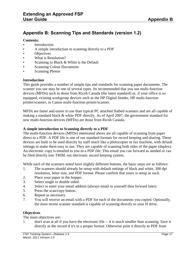#### <span id="page-16-0"></span>**Appendix B: Scanning Tips and Standards (version 1.2)**

#### **Contents:**

- **Introduction**
- A simple introduction to scanning directly to a PDF
- Objectives
- What is Resolution?
- Scanning in Black & White is the Default
- Scanning Colour Documents
- **Scanning Photos**

#### **Introduction**

This guide provides a number of simple tips and standards for scanning paper documents. The scanner you use may be one of several types. Its recommended that you use multi-function devices (MFDs) such as those from Ricoh Canada (the latest standard) or, if your office is so equipped, existing workgroup devices such as the HP Digital Sender, HP multi-function printer/scanner, or Canon multi-function printer/scanner.

MFDs are faster and easier to use than typical PC attached flatbed scanners and are all capable of making a standard black & white PDF directly. As of April 2007, the government standard for new multi-function devices (MFDs) are those from Ricoh Canada.

#### **A simple introduction to Scanning directly to a PDF**

The multi-function devices (MFDs) mentioned above are all capable of scanning from paper direct to a PDF. A PDF file is one of our standard formats for record keeping and sharing. These devices are built to be used directly by staff much like a photocopier or fax machine, with default settings to make them easy to use. They are capable of scanning both sides of the paper (duplex). An electronic copy is emailed to you as a PDF file. This email you can forward as needed or can be filed directly into TRIM, our electronic record keeping system.

While each of the scanners noted have slightly different buttons, the basic steps are as follows:

- 1. The scanners should already be setup with default settings of black and white, 300 dpi resolution, letter size, and PDF format. Please confirm that yours is setup as such.
- 2. Place your paper in the hopper.
- 3. Select single or double sided.
- 4. Select or enter your email address (always email to yourself then forward later).
- 5. Press the scan/copy button.
- 6. Repeat as necessary.
- 7. You will receive an email with a PDF for each of the documents you copied. Optionally, the most recent scanner standard is capable of scanning directly to your H drive.

#### **Objectives**

The main objectives are:

1. don't scan at all if you have the electronic file -- it is much smaller than scanning. Save it directly as the record if it's in a proper format. Otherwise print it directly to PDF from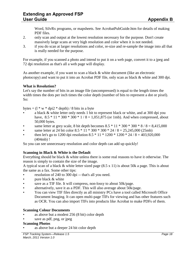Word, SilvRx programs, or mapsheets. See AcrobatPubGuide.htm for details of making PDF files.

- 2. only scan and output at the lowest resolution necessary for the purpose. Don't create massively large scans at very high resolution and color when it is not needed.
- 3. if you do scan at larger resolutions and color, re-size and re-sample the image into all that is really needed for the purpose.

For example, if you scanned a photo and intend to put it on a web page, convert it to a jpeg and 72 dpi resolution as that's all a web page will display.

As another example, if you want to scan a black & white document (like an electronic photocopy) and want to put it into an Acrobat PDF file, only scan as black & white and 300 dpi.

#### **What is Resolution?**

Let's say the number of bits in an image file (uncompressed) is equal to the length times the width times the dots per inch times the color depth (number of bits to represent a dot or pixel). So:

bytes  $=$   $(1 * w * dpi2 * depth) / 8$  bits in a byte

- a black & white letter only needs 1 bit to represent black or white, and at 300 dpi you have,  $8.5 * 11 * 300 * 300 * 1 / 8 = 1,051,875$  (or 1mb). And when compressed, about 50,000 bytes.
- same letter at grey scale, 8 bit depth becomes  $8.5 * 11 * 300 * 300 * 8 / 8 = 8,415,000$
- same letter at 24 bit color 8.5 \* 11 \* 300 \* 300 \* 24 / 8 = 25,245,000 (25mb)
- then let's go to 1200 dpi resolution  $8.5 * 11 * 1200 * 1200 * 24 / 8 = 403,920,000$ (404mb) !

So you can see unnecessary resolution and color depth can add up quickly!

#### **Scanning in Black & White is the Default**

Everything should be black & white unless there is some real reasons to have it otherwise. The reason is simply to contain the size of the image.

A typical scan of a black & white letter sized page (8.5 x 11) is about 50k a page. This is about the same as a fax. Some other tips:

- resolution of 240 to 300 dpi -- that's all you need.
- pure black & white
- save as a TIF file. It will compress, non-lossy to about 50k/page.
- alternatively, save it as a PDF. This will also average about 50k/page.
- You can view TIF files directly as all ministry PCs have a tool called Microsoft Office Document Imaging. It can open multi-page TIFs for viewing and has other features such as OCR. You can also import TIFs into products like Acrobat to make PDFs of them.

#### **Scanning Colour Documents**

- as above but a modest 256 (8 bit) color depth
- save as pdf, png, or jpeg

#### **Scanning Photos**

as above but a deeper 24 bit color depth